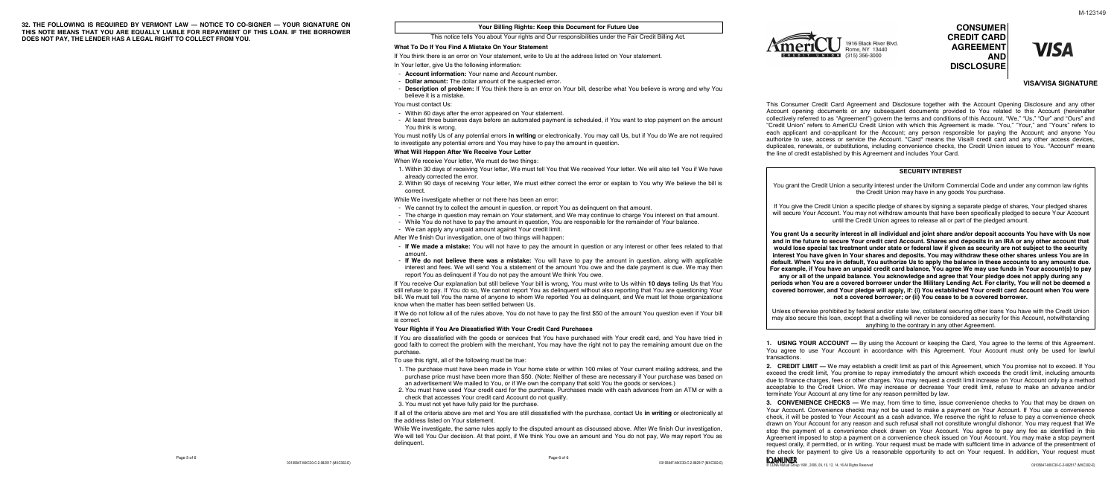# **CONSUMER CREDIT CARD AGREEMENT AND DISCLOSURE**

**VISA** 

## **VISA/VISA SIGNATURE**

This Consumer Credit Card Agreement and Disclosure together with the Account Opening Disclosure and any other Account opening documents or any subsequent documents provided to You related to this Account (hereinafter collectively referred to as "Agreement") govern the terms and conditions of this Account. "We," "Us," "Our" and "Ours" and "Credit Union" refers to AmeriCU Credit Union with which this Agreement is made. "You," "Your," and "Yours" refers to each applicant and co-applicant for the Account; any person responsible for paying the Account; and anyone You authorize to use, access or service the Account. "Card" means the Visa® credit card and any other access devices, duplicates, renewals, or substitutions, including convenience checks, the Credit Union issues to You. "Account" means the line of credit established by this Agreement and includes Your Card.

## **SECURITY INTEREST**

You grant the Credit Union a security interest under the Uniform Commercial Code and under any common law rights the Credit Union may have in any goods You purchase.

If You give the Credit Union a specific pledge of shares by signing a separate pledge of shares, Your pledged shares will secure Your Account. You may not withdraw amounts that have been specifically pledged to secure Your Account until the Credit Union agrees to release all or part of the pledged amount.

**1. USING YOUR ACCOUNT —** By using the Account or keeping the Card, You agree to the terms of this Agreement. You agree to use Your Account in accordance with this Agreement. Your Account must only be used for lawful transactions.

**You grant Us a security interest in all individual and joint share and/or deposit accounts You have with Us now and in the future to secure Your credit card Account. Shares and deposits in an IRA or any other account that would lose special tax treatment under state or federal law if given as security are not subject to the security interest You have given in Your shares and deposits. You may withdraw these other shares unless You are in default. When You are in default, You authorize Us to apply the balance in these accounts to any amounts due. For example, if You have an unpaid credit card balance, You agree We may use funds in Your account(s) to pay** 

**any or all of the unpaid balance. You acknowledge and agree that Your pledge does not apply during any periods when You are a covered borrower under the Military Lending Act. For clarity, You will not be deemed a covered borrower, and Your pledge will apply, if: (i) You established Your credit card Account when You were not a covered borrower; or (ii) You cease to be a covered borrower.**

Unless otherwise prohibited by federal and/or state law, collateral securing other loans You have with the Credit Union may also secure this loan, except that a dwelling will never be considered as security for this Account, notwithstanding anything to the contrary in any other Agreement.

**2. CREDIT LIMIT —** We may establish a credit limit as part of this Agreement, which You promise not to exceed. If You exceed the credit limit, You promise to repay immediately the amount which exceeds the credit limit, including amounts due to finance charges, fees or other charges. You may request a credit limit increase on Your Account only by a method acceptable to the Credit Union. We may increase or decrease Your credit limit, refuse to make an advance and/or terminate Your Account at any time for any reason permitted by law.

**3. CONVENIENCE CHECKS —** We may, from time to time, issue convenience checks to You that may be drawn on Your Account. Convenience checks may not be used to make a payment on Your Account. If You use a convenience check, it will be posted to Your Account as a cash advance. We reserve the right to refuse to pay a convenience check drawn on Your Account for any reason and such refusal shall not constitute wrongful dishonor. You may request that We stop the payment of a convenience check drawn on Your Account. You agree to pay any fee as identified in this Agreement imposed to stop a payment on a convenience check issued on Your Account. You may make a stop payment request orally, if permitted, or in writing. Your request must be made with sufficient time in advance of the presentment of the check for payment to give Us a reasonable opportunity to act on Your request. In addition, Your request must

While We investigate, the same rules apply to the disputed amount as discussed above. After We finish Our investigation, We will tell You Our decision. At that point, if We think You owe an amount and You do not pay, We may report You as delinquent.

**32. THE FOLLOWING IS REQUIRED BY VERMONT LAW — NOTICE TO CO-SIGNER — YOUR SIGNATURE ON THIS NOTE MEANS THAT YOU ARE EQUALLY LIABLE FOR REPAYMENT OF THIS LOAN. IF THE BORROWER DOES NOT PAY, THE LENDER HAS A LEGAL RIGHT TO COLLECT FROM YOU.**

03105847-MXC30-C-2-082517 (MXC302-E)

Page 6 of 6



## **Your Billing Rights: Keep this Document for Future Use**

This notice tells You about Your rights and Our responsibilities under the Fair Credit Billing Act.

### **What To Do If You Find A Mistake On Your Statement**

If You think there is an error on Your statement, write to Us at the address listed on Your statement. In Your letter, give Us the following information:

- **Account information:** Your name and Account number.
- **Dollar amount:** The dollar amount of the suspected error.
- believe it is a mistake.

- **Description of problem:** If You think there is an error on Your bill, describe what You believe is wrong and why You

You must contact Us:

- Within 60 days after the error appeared on Your statement.

- At least three business days before an automated payment is scheduled, if You want to stop payment on the amount

You think is wrong. You must notify Us of any potential errors **in writing** or electronically. You may call Us, but if You do We are not required to investigate any potential errors and You may have to pay the amount in question.

## **What Will Happen After We Receive Your Letter**

When We receive Your letter, We must do two things:

1. Within 30 days of receiving Your letter, We must tell You that We received Your letter. We will also tell You if We have

- already corrected the error.
- correct.

2. Within 90 days of receiving Your letter, We must either correct the error or explain to You why We believe the bill is

While We investigate whether or not there has been an error:

- We cannot try to collect the amount in question, or report You as delinquent on that amount.
- 
- 
- We can apply any unpaid amount against Your credit limit.

- The charge in question may remain on Your statement, and We may continue to charge You interest on that amount. - While You do not have to pay the amount in question, You are responsible for the remainder of Your balance.

After We finish Our investigation, one of two things will happen:

- **If We made a mistake:** You will not have to pay the amount in question or any interest or other fees related to that

- **If We do not believe there was a mistake:** You will have to pay the amount in question, along with applicable interest and fees. We will send You a statement of the amount You owe and the date payment is due. We may then

- amount.
- report You as delinquent if You do not pay the amount We think You owe.

If You receive Our explanation but still believe Your bill is wrong, You must write to Us within **10 days** telling Us that You still refuse to pay. If You do so, We cannot report You as delinquent without also reporting that You are questioning Your bill. We must tell You the name of anyone to whom We reported You as delinquent, and We must let those organizations know when the matter has been settled between Us.

If We do not follow all of the rules above, You do not have to pay the first \$50 of the amount You question even if Your bill is correct.

## **Your Rights if You Are Dissatisfied With Your Credit Card Purchases**

If You are dissatisfied with the goods or services that You have purchased with Your credit card, and You have tried in good faith to correct the problem with the merchant, You may have the right not to pay the remaining amount due on the purchase.

To use this right, all of the following must be true:

1. The purchase must have been made in Your home state or within 100 miles of Your current mailing address, and the purchase price must have been more than \$50. (Note: Neither of these are necessary if Your purchase was based on

2. You must have used Your credit card for the purchase. Purchases made with cash advances from an ATM or with a

- an advertisement We mailed to You, or if We own the company that sold You the goods or services.)
- check that accesses Your credit card Account do not qualify.
- 3. You must not yet have fully paid for the purchase.

If all of the criteria above are met and You are still dissatisfied with the purchase, contact Us **in writing** or electronically at the address listed on Your statement.